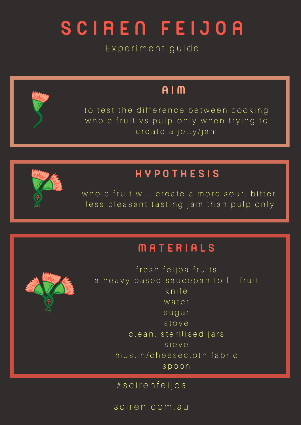Experiment guide

### A I M

to test the difference between cooking whole fruit vs pulp-only when trying to create a jelly/jam



### H Y P O T H E S I S

whole fruit will create a more sour, bitter, less pleasant tasting jam than pulp only

### **MATERIALS**



fresh feijoa fruits a heavy based saucepan to fit fruit k n i f e water s u g a r s t o v e clean, sterilised jars s i e v e muslin/cheesecloth fabric s p o o n

# s c i r e n f e i j o a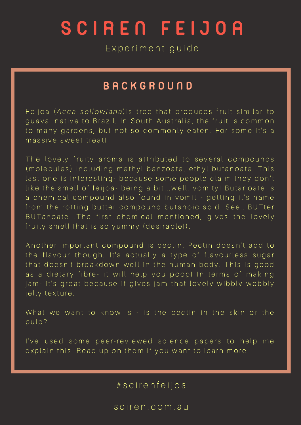# S C I R E N F E I J O A

Experiment guide

#### **B A C K G R O U N D**

Feijoa (Acca sellowiana) is tree that produces fruit similar to guava, native to Brazil. In South Australia, the fruit is common to many gardens, but not so commonly eaten. For some it's a massive sweet treat!

The lovely fruity aroma is attributed to several compounds (molecules) including methyl benzoate, ethyl butanoate. This last one is interesting- because some people claim they don't like the smell of feijoa- being a bit... well, vomity! Butanoate is a chemical compound also found in vomit - getting it's name from the rotting butter compound butanoic acid! See... BUTter BUT anoate... The first chemical mentioned, gives the lovely fruity smell that is so yummy (desirable!).

Another important compound is pectin. Pectin doesn't add to the flavour though. It's actually a type of flavourless sugar that doesn't breakdown well in the human body. This is good as a dietary fibre- it will help you poop! In terms of making jam-it's great because it gives jam that lovely wibbly wobbly jelly texture.

What we want to know is - is the pectin in the skin or the pulp?!

I've used some peer-reviewed science papers to help me explain this. Read up on them if you want to learn more!

# s c i r e n f e i j o a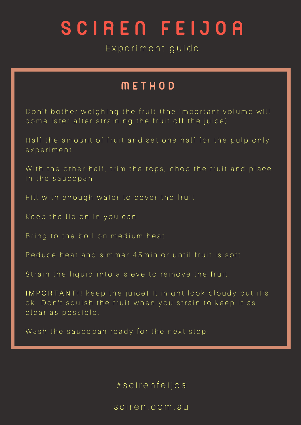Experiment guide

### M E T H O D

Don't bother weighing the fruit (the important volume will come later after straining the fruit off the juice)

Half the amount of fruit and set one half for the pulp only e x p e r i m e n t

With the other half, trim the tops, chop the fruit and place in the saucepan

Fill with enough water to cover the fruit

Keep the lid on in you can

Bring to the boil on medium heat

Reduce heat and simmer 45 min or until fruit is soft

Strain the liquid into a sieve to remove the fruit

IMPORTANT!! keep the juice! It might look cloudy but it's ok. Don't squish the fruit when you strain to keep it as clear as possible.

Wash the saucepan ready for the next step

# s c i r e n f e i j o a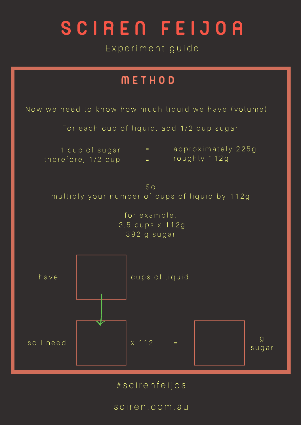Experiment guide



# s c i r e n f e i j o a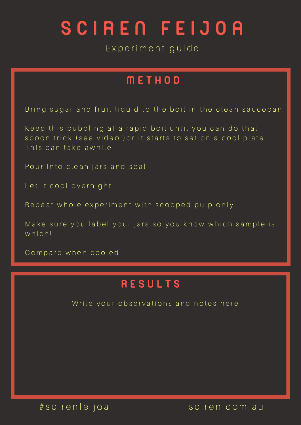Experiment guide

### M E T H O D

Bring sugar and fruit liquid to the boil in the clean saucepan

Keep this bubbling at a rapid boil until you can do that spoon trick (see video!) or it starts to set on a cool plate. This can take awhile.

Pour into clean jars and seal

Let it cool overnight

Repeat whole experiment with scooped pulp only

Make sure you label your jars so you know which sample is which!

Compare when cooled

### **RESULTS**

Write your observations and notes here

# sciren feijoa sciren.com.au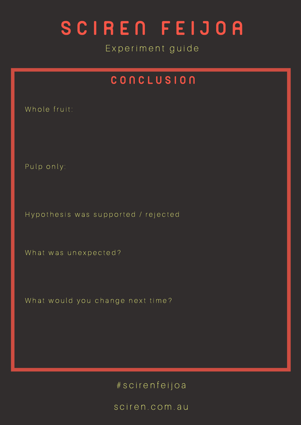Experiment guide

### CONCLUSION

Whole fruit:

Pulp only:

Hypothesis was supported / rejected

What was unexpected?

What would you change next time?

# s c i r e n f e i j o a